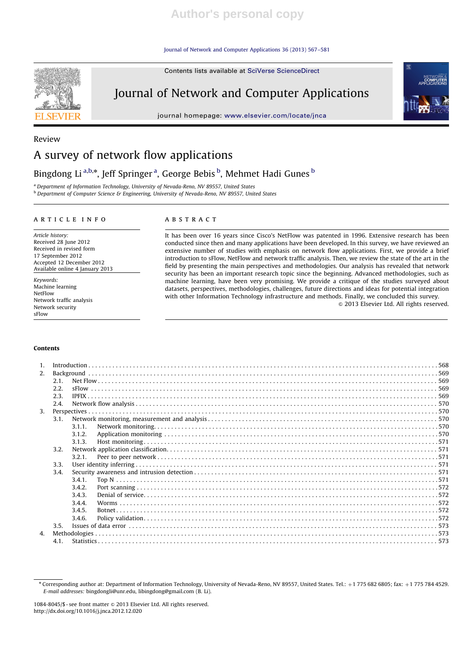Journal of Network and Computer Applications 36 (2013) 567–581

Contents lists available at SciVerse ScienceDirect



Journal of Network and Computer Applications

journal homepage: www.elsevier.com/locate/jnca



# Review

# A survey of network flow applications

# Bingdong Li<sup>a,b,\*</sup>, Jeff Springer<sup>a</sup>, George Bebis<sup>b</sup>, Mehmet Hadi Gunes<sup>b</sup>

<sup>a</sup> Department of Information Technology, University of Nevada-Reno, NV 89557, United States

b Department of Computer Science & Engineering, University of Nevada-Reno, NV 89557, United States

# article info

Article history: Received 28 June 2012 Received in revised form 17 September 2012 Accepted 12 December 2012 Available online 4 January 2013

Keywords: Machine learning NetFlow Network traffic analysis Network security sFlow

# ABSTRACT

It has been over 16 years since Cisco's NetFlow was patented in 1996. Extensive research has been conducted since then and many applications have been developed. In this survey, we have reviewed an extensive number of studies with emphasis on network flow applications. First, we provide a brief introduction to sFlow, NetFlow and network traffic analysis. Then, we review the state of the art in the field by presenting the main perspectives and methodologies. Our analysis has revealed that network security has been an important research topic since the beginning. Advanced methodologies, such as machine learning, have been very promising. We provide a critique of the studies surveyed about datasets, perspectives, methodologies, challenges, future directions and ideas for potential integration with other Information Technology infrastructure and methods. Finally, we concluded this survey.  $\odot$  2013 Elsevier Ltd. All rights reserved.

#### **Contents**

| $\mathbf{1}$ . |      |        |  |
|----------------|------|--------|--|
| 2.             |      |        |  |
|                | 2.1. |        |  |
|                | 2.2. |        |  |
|                | 2.3. |        |  |
|                | 2.4. |        |  |
| 3.             |      |        |  |
|                | 3.1. |        |  |
|                |      | 3.1.1. |  |
|                |      | 3.1.2. |  |
|                |      | 3.1.3. |  |
|                | 3.2. |        |  |
|                |      | 3.2.1  |  |
|                | 3.3. |        |  |
|                | 3.4. |        |  |
|                |      | 3.4.1. |  |
|                |      | 3.4.2. |  |
|                |      | 3.4.3. |  |
|                |      | 3.4.4. |  |
|                |      | 3.4.5. |  |
|                |      | 3.4.6. |  |
|                | 3.5. |        |  |
| 4.             |      |        |  |
|                | 4.1. |        |  |

1084-8045/\$ - see front matter  $\odot$  2013 Elsevier Ltd. All rights reserved. http://dx.doi.org/10.1016/j.jnca.2012.12.020

<sup>\*</sup> Corresponding author at: Department of Information Technology, University of Nevada-Reno, NV 89557, United States. Tel.: +1 775 682 6805: fax: +1 775 784 4529. E-mail addresses: bingdongli@unr.edu, libingdong@gmail.com (B. Li).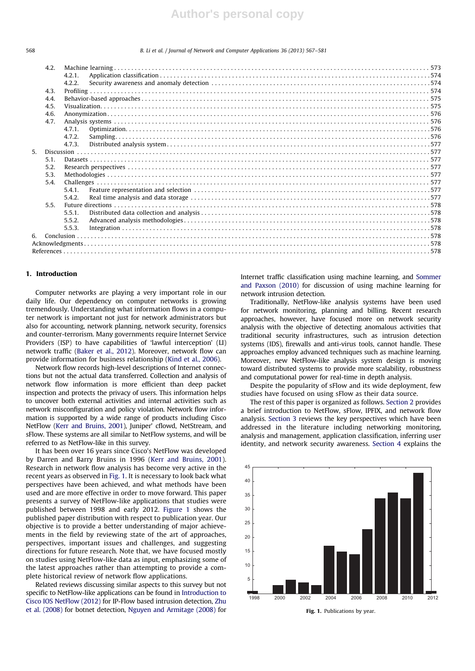#### 568 B. Li et al. / Journal of Network and Computer Applications 36 (2013) 567–581

|                | 4.2. |                          |  |  |  |
|----------------|------|--------------------------|--|--|--|
|                |      | 4.2.1                    |  |  |  |
|                |      | 4.2.2.                   |  |  |  |
|                | 4.3. |                          |  |  |  |
|                | 4.4. |                          |  |  |  |
|                | 4.5. |                          |  |  |  |
|                |      |                          |  |  |  |
|                | 4.6. |                          |  |  |  |
|                | 4.7. |                          |  |  |  |
|                |      | 4.7.1                    |  |  |  |
|                |      | 4.7.2.                   |  |  |  |
|                |      | 4.7.3.                   |  |  |  |
| 5 <sub>1</sub> |      |                          |  |  |  |
|                | 5.1. |                          |  |  |  |
|                | 5.2. |                          |  |  |  |
|                | 5.3. |                          |  |  |  |
|                | 5.4. |                          |  |  |  |
|                |      | 5.4.1.                   |  |  |  |
|                |      | 5.4.2.                   |  |  |  |
|                | 5.5. |                          |  |  |  |
|                |      | 5.5.1                    |  |  |  |
|                |      | 5.5.2.                   |  |  |  |
|                |      | 5.5.3.                   |  |  |  |
| 6.             |      | $Conclusion \dots 1.778$ |  |  |  |
|                |      |                          |  |  |  |
|                |      |                          |  |  |  |
|                |      |                          |  |  |  |

# 1. Introduction

Computer networks are playing a very important role in our daily life. Our dependency on computer networks is growing tremendously. Understanding what information flows in a computer network is important not just for network administrators but also for accounting, network planning, network security, forensics and counter-terrorism. Many governments require Internet Service Providers (ISP) to have capabilities of 'lawful interception' (LI) network traffic (Baker et al., 2012). Moreover, network flow can provide information for business relationship (Kind et al., 2006).

Network flow records high-level descriptions of Internet connections but not the actual data transferred. Collection and analysis of network flow information is more efficient than deep packet inspection and protects the privacy of users. This information helps to uncover both external activities and internal activities such as network misconfiguration and policy violation. Network flow information is supported by a wide range of products including Cisco NetFlow (Kerr and Bruins, 2001), Juniper' cflowd, NetStream, and sFlow. These systems are all similar to NetFlow systems, and will be referred to as NetFlow-like in this survey.

It has been over 16 years since Cisco's NetFlow was developed by Darren and Barry Bruins in 1996 (Kerr and Bruins, 2001). Research in network flow analysis has become very active in the recent years as observed in Fig. 1. It is necessary to look back what perspectives have been achieved, and what methods have been used and are more effective in order to move forward. This paper presents a survey of NetFlow-like applications that studies were published between 1998 and early 2012. Figure 1 shows the published paper distribution with respect to publication year. Our objective is to provide a better understanding of major achievements in the field by reviewing state of the art of approaches, perspectives, important issues and challenges, and suggesting directions for future research. Note that, we have focused mostly on studies using NetFlow-like data as input, emphasizing some of the latest approaches rather than attempting to provide a complete historical review of network flow applications.

Related reviews discussing similar aspects to this survey but not specific to NetFlow-like applications can be found in Introduction to Cisco IOS NetFlow (2012) for IP-Flow based intrusion detection, Zhu et al. (2008) for botnet detection, Nguyen and Armitage (2008) for Internet traffic classification using machine learning, and Sommer and Paxson (2010) for discussion of using machine learning for network intrusion detection.

Traditionally, NetFlow-like analysis systems have been used for network monitoring, planning and billing. Recent research approaches, however, have focused more on network security analysis with the objective of detecting anomalous activities that traditional security infrastructures, such as intrusion detection systems (IDS), firewalls and anti-virus tools, cannot handle. These approaches employ advanced techniques such as machine learning. Moreover, new NetFlow-like analysis system design is moving toward distributed systems to provide more scalability, robustness and computational power for real-time in depth analysis.

Despite the popularity of sFlow and its wide deployment, few studies have focused on using sFlow as their data source.

The rest of this paper is organized as follows. Section 2 provides a brief introduction to NetFlow, sFlow, IPFIX, and network flow analysis. Section 3 reviews the key perspectives which have been addressed in the literature including networking monitoring, analysis and management, application classification, inferring user identity, and network security awareness. Section 4 explains the

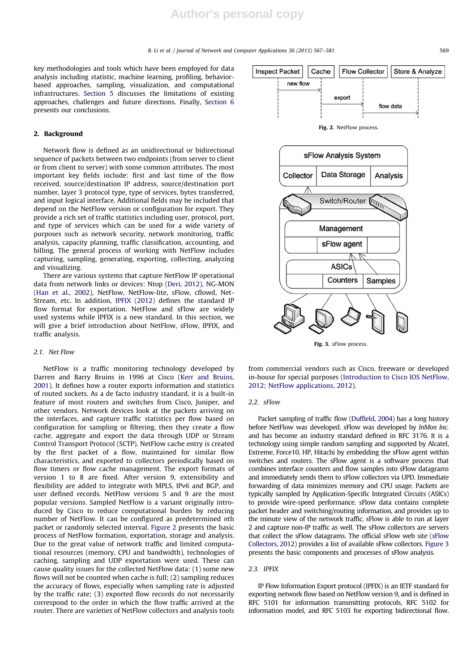key methodologies and tools which have been employed for data analysis including statistic, machine learning, profiling, behaviorbased approaches, sampling, visualization, and computational infrastructures. Section 5 discusses the limitations of existing approaches, challenges and future directions. Finally, Section 6 presents our conclusions.

# 2. Background

Network flow is defined as an unidirectional or bidirectional sequence of packets between two endpoints (from server to client or from client to server) with some common attributes. The most important key fields include: first and last time of the flow received, source/destination IP address, source/destination port number, layer 3 protocol type, type of services, bytes transferred, and input logical interface. Additional fields may be included that depend on the NetFlow version or configuration for export. They provide a rich set of traffic statistics including user, protocol, port, and type of services which can be used for a wide variety of purposes such as network security, network monitoring, traffic analysis, capacity planning, traffic classification, accounting, and billing. The general process of working with NetFlow includes capturing, sampling, generating, exporting, collecting, analyzing and visualizing.

There are various systems that capture NetFlow IP operational data from network links or devices: Ntop (Deri, 2012), NG-MON (Han et al., 2002), NetFlow, NetFlow-lite, sFlow, cflowd, Net-Stream, etc. In addition, IPFIX (2012) defines the standard IP flow format for exportation. NetFlow and sFlow are widely used systems while IPFIX is a new standard. In this section, we will give a brief introduction about NetFlow, sFlow, IPFIX, and traffic analysis.

# 2.1. Net Flow

NetFlow is a traffic monitoring technology developed by Darren and Barry Bruins in 1996 at Cisco (Kerr and Bruins, 2001). It defines how a router exports information and statistics of routed sockets. As a de facto industry standard, it is a built-in feature of most routers and switches from Cisco, Juniper, and other vendors. Network devices look at the packets arriving on the interfaces, and capture traffic statistics per flow based on configuration for sampling or filtering, then they create a flow cache, aggregate and export the data through UDP or Stream Control Transport Protocol (SCTP). NetFlow cache entry is created by the first packet of a flow, maintained for similar flow characteristics, and exported to collectors periodically based on flow timers or flow cache management. The export formats of version 1 to 8 are fixed. After version 9, extensibility and flexibility are added to integrate with MPLS, IPv6 and BGP, and user defined records. NetFlow versions 5 and 9 are the most popular versions. Sampled NetFlow is a variant originally introduced by Cisco to reduce computational burden by reducing number of NetFlow. It can be configured as predetermined nth packet or randomly selected interval. Figure 2 presents the basic process of NetFlow formation, exportation, storage and analysis. Due to the great value of network traffic and limited computational resources (memory, CPU and bandwidth), technologies of caching, sampling and UDP exportation were used. These can cause quality issues for the collected NetFlow data: (1) some new flows will not be counted when cache is full; (2) sampling reduces the accuracy of flows, especially when sampling rate is adjusted by the traffic rate; (3) exported flow records do not necessarily correspond to the order in which the flow traffic arrived at the router. There are varieties of NetFlow collectors and analysis tools





Fig. 3. sFlow process.

from commercial vendors such as Cisco, freeware or developed in-house for special purposes (Introduction to Cisco IOS NetFlow, 2012; NetFlow applications, 2012).

#### 2.2. sFlow

Packet sampling of traffic flow (Duffield, 2004) has a long history before NetFlow was developed. sFlow was developed by InMon Inc. and has become an industry standard defined in RFC 3176. It is a technology using simple random sampling and supported by Alcatel, Extreme, Force10, HP, Hitachi by embedding the sFlow agent within switches and routers. The sFlow agent is a software process that combines interface counters and flow samples into sFlow datagrams and immediately sends them to sFlow collectors via UPD. Immediate forwarding of data minimizes memory and CPU usage. Packets are typically sampled by Application-Specific Integrated Circuits (ASICs) to provide wire-speed performance. sFlow data contains complete packet header and switching/routing information, and provides up to the minute view of the network traffic. sFlow is able to run at layer 2 and capture non-IP traffic as well. The sFlow collectors are servers that collect the sFlow datagrams. The official sFlow web site (sFlow Collectors, 2012) provides a list of available sFlow collectors. Figure 3 presents the basic components and processes of sFlow analysis.

# 2.3. IPFIX

IP Flow Information Export protocol (IPFIX) is an IETF standard for exporting network flow based on NetFlow version 9, and is defined in RFC 5101 for information transmitting protocols, RFC 5102 for information model, and RFC 5103 for exporting bidirectional flow.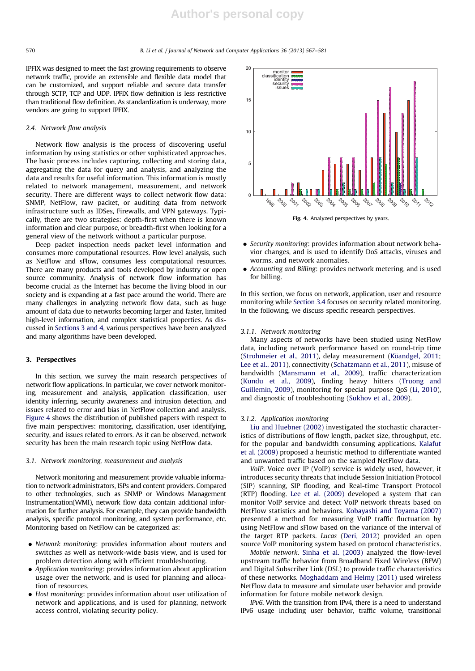IPFIX was designed to meet the fast growing requirements to observe network traffic, provide an extensible and flexible data model that can be customized, and support reliable and secure data transfer through SCTP, TCP and UDP. IPFIX flow definition is less restrictive than traditional flow definition. As standardization is underway, more vendors are going to support IPFIX.

# 2.4. Network flow analysis

Network flow analysis is the process of discovering useful information by using statistics or other sophisticated approaches. The basic process includes capturing, collecting and storing data, aggregating the data for query and analysis, and analyzing the data and results for useful information. This information is mostly related to network management, measurement, and network security. There are different ways to collect network flow data: SNMP, NetFlow, raw packet, or auditing data from network infrastructure such as IDSes, Firewalls, and VPN gateways. Typically, there are two strategies: depth-first when there is known information and clear purpose, or breadth-first when looking for a general view of the network without a particular purpose.

Deep packet inspection needs packet level information and consumes more computational resources. Flow level analysis, such as NetFlow and sFlow, consumes less computational resources. There are many products and tools developed by industry or open source community. Analysis of network flow information has become crucial as the Internet has become the living blood in our society and is expanding at a fast pace around the world. There are many challenges in analyzing network flow data, such as huge amount of data due to networks becoming larger and faster, limited high-level information, and complex statistical properties. As discussed in Sections 3 and 4, various perspectives have been analyzed and many algorithms have been developed.

### 3. Perspectives

In this section, we survey the main research perspectives of network flow applications. In particular, we cover network monitoring, measurement and analysis, application classification, user identity inferring, security awareness and intrusion detection, and issues related to error and bias in NetFlow collection and analysis. Figure 4 shows the distribution of published papers with respect to five main perspectives: monitoring, classification, user identifying, security, and issues related to errors. As it can be observed, network security has been the main research topic using NetFlow data.

#### 3.1. Network monitoring, measurement and analysis

Network monitoring and measurement provide valuable information to network administrators, ISPs and content providers. Compared to other technologies, such as SNMP or Windows Management Instrumentation(WMI), network flow data contain additional information for further analysis. For example, they can provide bandwidth analysis, specific protocol monitoring, and system performance, etc. Monitoring based on NetFlow can be categorized as:

- Network monitoring: provides information about routers and switches as well as network-wide basis view, and is used for problem detection along with efficient troubleshooting.
- Application monitoring: provides information about application usage over the network, and is used for planning and allocation of resources.
- $\bullet$  Host monitoring: provides information about user utilization of network and applications, and is used for planning, network access control, violating security policy.



- Security monitoring: provides information about network behavior changes, and is used to identify DoS attacks, viruses and worms, and network anomalies.
- Accounting and Billing: provides network metering, and is used for billing.

In this section, we focus on network, application, user and resource monitoring while Section 3.4 focuses on security related monitoring. In the following, we discuss specific research perspectives.

#### 3.1.1. Network monitoring

Many aspects of networks have been studied using NetFlow data, including network performance based on round-trip time (Strohmeier et al., 2011), delay measurement (Köandgel, 2011; Lee et al., 2011), connectivity (Schatzmann et al., 2011), misuse of bandwidth (Mansmann et al., 2009), traffic characterization (Kundu et al., 2009), finding heavy hitters (Truong and Guillemin, 2009), monitoring for special purpose QoS (Li, 2010), and diagnostic of troubleshooting (Sukhov et al., 2009).

# 3.1.2. Application monitoring

Liu and Huebner (2002) investigated the stochastic characteristics of distributions of flow length, packet size, throughput, etc. for the popular and bandwidth consuming applications. Kalafut et al. (2009) proposed a heuristic method to differentiate wanted and unwanted traffic based on the sampled NetFlow data.

VoIP. Voice over IP (VoIP) service is widely used, however, it introduces security threats that include Session Initiation Protocol (SIP) scanning, SIP flooding, and Real-time Transport Protocol (RTP) flooding. Lee et al. (2009) developed a system that can monitor VoIP service and detect VoIP network threats based on NetFlow statistics and behaviors. Kobayashi and Toyama (2007) presented a method for measuring VoIP traffic fluctuation by using NetFlow and sFlow based on the variance of the interval of the target RTP packets. Lucas (Deri, 2012) provided an open source VoIP monitoring system based on protocol characteristics.

Mobile network. Sinha et al. (2003) analyzed the flow-level upstream traffic behavior from Broadband Fixed Wireless (BFW) and Digital Subscriber Link (DSL) to provide traffic characteristics of these networks. Moghaddam and Helmy (2011) used wireless NetFlow data to measure and simulate user behavior and provide information for future mobile network design.

IPv6. With the transition from IPv4, there is a need to understand IPv6 usage including user behavior, traffic volume, transitional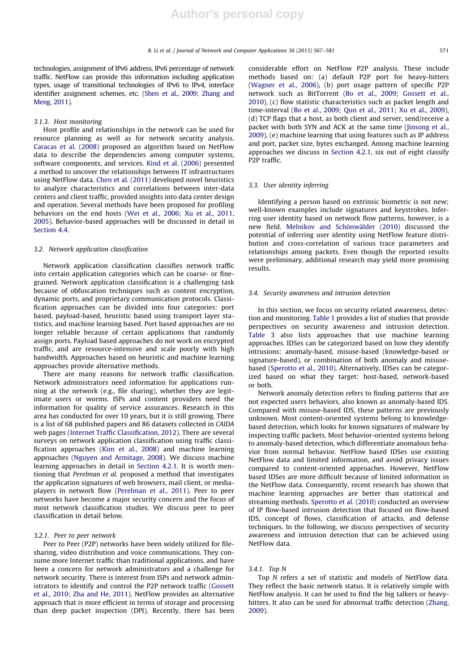#### 3.1.3. Host monitoring

Host profile and relationships in the network can be used for resource planning as well as for network security analysis. Caracas et al. (2008) proposed an algorithm based on NetFlow data to describe the dependencies among computer systems, software components, and services. Kind et al. (2006) presented a method to uncover the relationships between IT infrastructures using NetFlow data. Chen et al. (2011) developed novel heuristics to analyze characteristics and correlations between inter-data centers and client traffic, provided insights into data center design and operation. Several methods have been proposed for profiling behaviors on the end hosts (Wei et al., 2006; Xu et al., 2011, 2005). Behavior-based approaches will be discussed in detail in Section 4.4.

# 3.2. Network application classification

Network application classification classifies network traffic into certain application categories which can be coarse- or finegrained. Network application classification is a challenging task because of obfuscation techniques such as content encryption, dynamic ports, and proprietary communication protocols. Classification approaches can be divided into four categories: port based, payload-based, heuristic based using transport layer statistics, and machine learning based. Port based approaches are no longer reliable because of certain applications that randomly assign ports. Payload based approaches do not work on encrypted traffic, and are resource-intensive and scale poorly with high bandwidth. Approaches based on heuristic and machine learning approaches provide alternative methods.

There are many reasons for network traffic classification. Network administrators need information for applications running at the network (e.g., file sharing), whether they are legitimate users or worms. ISPs and content providers need the information for quality of service assurances. Research in this area has conducted for over 10 years, but it is still growing. There is a list of 68 published papers and 86 datasets collected in CAIDA web pages (Internet Traffic Classification, 2012). There are several surveys on network application classification using traffic classification approaches (Kim et al., 2008) and machine learning approaches (Nguyen and Armitage, 2008). We discuss machine learning approaches in detail in Section 4.2.1. It is worth mentioning that Perelman et al. proposed a method that investigates the application signatures of web browsers, mail client, or mediaplayers in network flow (Perelman et al., 2011). Peer to peer networks have become a major security concern and the focus of most network classification studies. We discuss peer to peer classification in detail below.

#### 3.2.1. Peer to peer network

Peer to Peer (P2P) networks have been widely utilized for filesharing, video distribution and voice communications. They consume more Internet traffic than traditional applications, and have been a concern for network administrators and a challenge for network security. There is interest from ISPs and network administrators to identify and control the P2P network traffic (Gossett et al., 2010; Zha and He, 2011). NetFlow provides an alternative approach that is more efficient in terms of storage and processing than deep packet inspection (DPI). Recently, there has been considerable effort on NetFlow P2P analysis. These include methods based on: (a) default P2P port for heavy-hitters (Wagner et al., 2006), (b) port usage pattern of specific P2P network such as BitTorrent (Bo et al., 2009; Gossett et al., 2010), (c) flow statistic characteristics such as packet length and time-interval (Bo et al., 2009; Qun et al., 2011; Xu et al., 2009), (d) TCP flags that a host, as both client and server, send/receive a packet with both SYN and ACK at the same time (Jinsong et al., 2009), (e) machine learning that using features such as IP address and port, packet size, bytes exchanged. Among machine learning approaches we discuss in Section 4.2.1, six out of eight classify P2P traffic.

# 3.3. User identity inferring

Identifying a person based on extrinsic biometric is not new; well-known examples include signatures and keystrokes. Inferring user identity based on network flow patterns, however, is a new field. Melnikov and Schönwälder (2010) discussed the potential of inferring user identity using NetFlow feature distribution and cross-correlation of various trace parameters and relationships among packets. Even though the reported results were preliminary, additional research may yield more promising results.

#### 3.4. Security awareness and intrusion detection

In this section, we focus on security related awareness, detection and monitoring. Table 1 provides a list of studies that provide perspectives on security awareness and intrusion detection. Table 3 also lists approaches that use machine learning approaches. IDSes can be categorized based on how they identify intrusions: anomaly-based, misuse-based (knowledge-based or signature-based), or combination of both anomaly and misusebased (Sperotto et al., 2010). Alternatively, IDSes can be categorized based on what they target: host-based, network-based or both.

Network anomaly detection refers to finding patterns that are not expected users behaviors, also known as anomaly-based IDS. Compared with misuse-based IDS, these patterns are previously unknown. Most content-oriented systems belong to knowledgebased detection, which looks for known signatures of malware by inspecting traffic packets. Most behavior-oriented systems belong to anomaly-based detection, which differentiate anomalous behavior from normal behavior. NetFlow based IDSes use existing NetFlow data and limited information, and avoid privacy issues compared to content-oriented approaches. However, NetFlow based IDSes are more difficult because of limited information in the NetFlow data. Consequently, recent research has shown that machine learning approaches are better than statistical and streaming methods. Sperotto et al. (2010) conducted an overview of IP flow-based intrusion detection that focused on flow-based IDS, concept of flows, classification of attacks, and defense techniques. In the following, we discuss perspectives of security awareness and intrusion detection that can be achieved using NetFlow data.

# 3.4.1. Top N

Top N refers a set of statistic and models of NetFlow data. They reflect the basic network status. It is relatively simple with NetFlow analysis. It can be used to find the big talkers or heavyhitters. It also can be used for abnormal traffic detection (Zhang, 2009).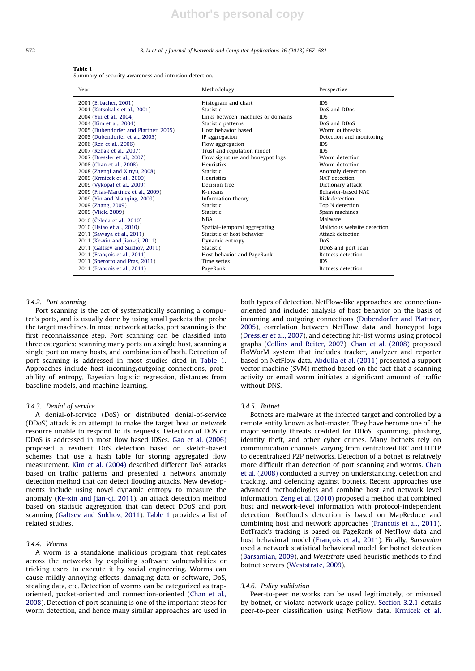# **Author's personal copy**

#### 572 B. Li et al. / Journal of Network and Computer Applications 36 (2013) 567–581

| Table 1 |                                                        |  |  |
|---------|--------------------------------------------------------|--|--|
|         | Summary of security awareness and intrusion detection. |  |  |

| Year                                  | Methodology                       | Perspective                 |
|---------------------------------------|-----------------------------------|-----------------------------|
| 2001 (Erbacher, 2001)                 | Histogram and chart               | <b>IDS</b>                  |
| 2001 (Kotsokalis et al., 2001)        | Statistic                         | DoS and DDos                |
| 2004 (Yin et al., 2004)               | Links between machines or domains | <b>IDS</b>                  |
| 2004 (Kim et al., 2004)               | Statistic patterns                | DoS and DDoS                |
| 2005 (Dubendorfer and Plattner, 2005) | Host behavior based               | Worm outbreaks              |
| 2005 (Dubendorfer et al., 2005)       | IP aggregation                    | Detection and monitoring    |
| 2006 (Ren et al., 2006)               | Flow aggregation                  | <b>IDS</b>                  |
| 2007 (Rehak et al., 2007)             | Trust and reputation model        | <b>IDS</b>                  |
| 2007 (Dressler et al., 2007)          | Flow signature and honeypot logs  | Worm detection              |
| 2008 (Chan et al., 2008)              | <b>Heuristics</b>                 | Worm detection              |
| 2008 (Zhengi and Xinyu, 2008)         | Statistic                         | Anomaly detection           |
| 2009 (Krmicek et al., 2009)           | Heuristics                        | NAT detection               |
| 2009 (Vykopal et al., 2009)           | Decision tree                     | Dictionary attack           |
| 2009 (Frias-Martinez et al., 2009)    | K-means                           | Behavior-based NAC          |
| 2009 (Yin and Nianging, 2009)         | Information theory                | Risk detection              |
| 2009 (Zhang, 2009)                    | Statistic                         | Top N detection             |
| 2009 (Vliek, 2009)                    | Statistic                         | Spam machines               |
| 2010 (Čeleda et al., 2010)            | <b>NBA</b>                        | Malware                     |
| 2010 (Hsiao et al., 2010)             | Spatial-temporal aggregating      | Malicious website detection |
| 2011 (Sawaya et al., 2011)            | Statistic of host behavior        | Attack detection            |
| 2011 (Ke-xin and Jian-qi, 2011)       | Dynamic entropy                   | <b>DoS</b>                  |
| 2011 (Galtsev and Sukhov, 2011)       | <b>Statistic</b>                  | DDoS and port scan          |
| 2011 (François et al., 2011)          | Host behavior and PageRank        | Botnets detection           |
| 2011 (Sperotto and Pras, 2011)        | Time series                       | <b>IDS</b>                  |
| 2011 (Francois et al., 2011)          | PageRank                          | Botnets detection           |

# 3.4.2. Port scanning

Port scanning is the act of systematically scanning a computer's ports, and is usually done by using small packets that probe the target machines. In most network attacks, port scanning is the first reconnaissance step. Port scanning can be classified into three categories: scanning many ports on a single host, scanning a single port on many hosts, and combination of both. Detection of port scanning is addressed in most studies cited in Table 1. Approaches include host incoming/outgoing connections, probability of entropy, Bayesian logistic regression, distances from baseline models, and machine learning.

#### 3.4.3. Denial of service

A denial-of-service (DoS) or distributed denial-of-service (DDoS) attack is an attempt to make the target host or network resource unable to respond to its requests. Detection of DOS or DDoS is addressed in most flow based IDSes. Gao et al. (2006) proposed a resilient DoS detection based on sketch-based schemes that use a hash table for storing aggregated flow measurement. Kim et al. (2004) described different DoS attacks based on traffic patterns and presented a network anomaly detection method that can detect flooding attacks. New developments include using novel dynamic entropy to measure the anomaly (Ke-xin and Jian-qi, 2011), an attack detection method based on statistic aggregation that can detect DDoS and port scanning (Galtsev and Sukhov, 2011). Table 1 provides a list of related studies.

# 3.4.4. Worms

A worm is a standalone malicious program that replicates across the networks by exploiting software vulnerabilities or tricking users to execute it by social engineering. Worms can cause mildly annoying effects, damaging data or software, DoS, stealing data, etc. Detection of worms can be categorized as traporiented, packet-oriented and connection-oriented (Chan et al., 2008). Detection of port scanning is one of the important steps for worm detection, and hence many similar approaches are used in both types of detection. NetFlow-like approaches are connectionoriented and include: analysis of host behavior on the basis of incoming and outgoing connections (Dubendorfer and Plattner, 2005), correlation between NetFlow data and honeypot logs (Dressler et al., 2007), and detecting hit-list worms using protocol graphs (Collins and Reiter, 2007). Chan et al. (2008) proposed FloWorM system that includes tracker, analyzer and reporter based on NetFlow data. Abdulla et al. (2011) presented a support vector machine (SVM) method based on the fact that a scanning activity or email worm initiates a significant amount of traffic without DNS.

# 3.4.5. Botnet

Botnets are malware at the infected target and controlled by a remote entity known as bot-master. They have become one of the major security threats credited for DDoS, spamming, phishing, identity theft, and other cyber crimes. Many botnets rely on communication channels varying from centralized IRC and HTTP to decentralized P2P networks. Detection of a botnet is relatively more difficult than detection of port scanning and worms. Chan et al. (2008) conducted a survey on understanding, detection and tracking, and defending against botnets. Recent approaches use advanced methodologies and combine host and network level information. Zeng et al. (2010) proposed a method that combined host and network-level information with protocol-independent detection. BotCloud's detection is based on MapReduce and combining host and network approaches (Francois et al., 2011). BotTrack's tracking is based on PageRank of NetFlow data and host behavioral model (François et al., 2011). Finally, Barsamian used a network statistical behavioral model for botnet detection (Barsamian, 2009), and Weststrate used heuristic methods to find botnet servers (Weststrate, 2009).

#### 3.4.6. Policy validation

Peer-to-peer networks can be used legitimately, or misused by botnet, or violate network usage policy. Section 3.2.1 details peer-to-peer classification using NetFlow data. Krmicek et al.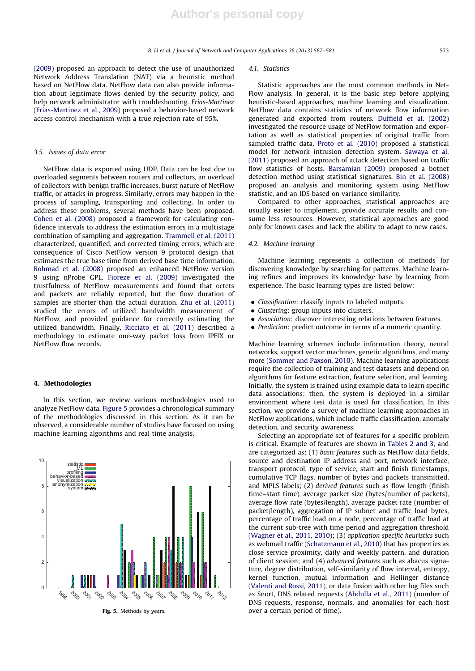(2009) proposed an approach to detect the use of unauthorized Network Address Translation (NAT) via a heuristic method based on NetFlow data. NetFlow data can also provide information about legitimate flows denied by the security policy, and help network administrator with troubleshooting. Frias-Martinez (Frias-Martinez et al., 2009) proposed a behavior-based network access control mechanism with a true rejection rate of 95%.

# 3.5. Issues of data error

NetFlow data is exported using UDP. Data can be lost due to overloaded segments between routers and collectors, an overload of collectors with benign traffic increases, burst nature of NetFlow traffic, or attacks in progress. Similarly, errors may happen in the process of sampling, transporting and collecting. In order to address these problems, several methods have been proposed. Cohen et al. (2008) proposed a framework for calculating confidence intervals to address the estimation errors in a multistage combination of sampling and aggregation. Trammell et al. (2011) characterized, quantified, and corrected timing errors, which are consequence of Cisco NetFlow version 9 protocol design that estimates the true base time from derived base time information. Rohmad et al. (2008) proposed an enhanced NetFlow version 9 using nProbe GPL. Fioreze et al. (2009) investigated the trustfulness of NetFlow measurements and found that octets and packets are reliably reported, but the flow duration of samples are shorter than the actual duration. Zhu et al. (2011) studied the errors of utilized bandwidth measurement of NetFlow, and provided guidance for correctly estimating the utilized bandwidth. Finally, Ricciato et al. (2011) described a methodology to estimate one-way packet loss from IPFIX or NetFlow flow records.

#### 4. Methodologies

In this section, we review various methodologies used to analyze NetFlow data. Figure 5 provides a chronological summary of the methodologies discussed in this section. As it can be observed, a considerable number of studies have focused on using machine learning algorithms and real time analysis.



Fig. 5. Methods by years.

# 4.1. Statistics

Statistic approaches are the most common methods in Net-Flow analysis. In general, it is the basic step before applying heuristic-based approaches, machine learning and visualization. NetFlow data contains statistics of network flow information generated and exported from routers. Duffield et al. (2002) investigated the resource usage of NetFlow formation and exportation as well as statistical properties of original traffic from sampled traffic data. Proto et al. (2010) proposed a statistical model for network intrusion detection system. Sawaya et al. (2011) proposed an approach of attack detection based on traffic flow statistics of hosts. Barsamian (2009) proposed a botnet detection method using statistical signatures. Bin et al. (2008) proposed an analysis and monitoring system using NetFlow statistic, and an IDS based on variance similarity.

Compared to other approaches, statistical approaches are usually easier to implement, provide accurate results and consume less resources. However, statistical approaches are good only for known cases and lack the ability to adapt to new cases.

# 4.2. Machine learning

Machine learning represents a collection of methods for discovering knowledge by searching for patterns. Machine learning refines and improves its knowledge base by learning from experience. The basic learning types are listed below:

- Classification: classify inputs to labeled outputs.
- Clustering: group inputs into clusters.
- $\bullet$  Association: discover interesting relations between features.
- Prediction: predict outcome in terms of a numeric quantity.

Machine learning schemes include information theory, neural networks, support vector machines, genetic algorithms, and many more (Sommer and Paxson, 2010). Machine learning applications require the collection of training and test datasets and depend on algorithms for feature extraction, feature selection, and learning. Initially, the system is trained using example data to learn specific data associations; then, the system is deployed in a similar environment where test data is used for classification. In this section, we provide a survey of machine learning approaches in NetFlow applications, which include traffic classification, anomaly detection, and security awareness.

Selecting an appropriate set of features for a specific problem is critical. Example of features are shown in Tables 2 and 3, and are categorized as: (1) basic features such as NetFlow data fields, source and destination IP address and port, network interface, transport protocol, type of service, start and finish timestamps, cumulative TCP flags, number of bytes and packets transmitted, and MPLS labels; (2) derived features such as flow length (finish time–start time), average packet size (bytes/number of packets), average flow rate (bytes/length), average packet rate (number of packet/length), aggregation of IP subnet and traffic load bytes, percentage of traffic load on a node, percentage of traffic load at the current sub-tree with time period and aggregation threshold (Wagner et al., 2011, 2010); (3) application specific heuristics such as webmail traffic (Schatzmann et al., 2010) that has properties as close service proximity, daily and weekly pattern, and duration of client session; and (4) advanced features such as abacus signature, degree distribution, self-similarity of flow interval, entropy, kernel function, mutual information and Hellinger distance (Valenti and Rossi, 2011), or data fusion with other log files such as Snort, DNS related requests (Abdulla et al., 2011) (number of DNS requests, response, normals, and anomalies for each host over a certain period of time).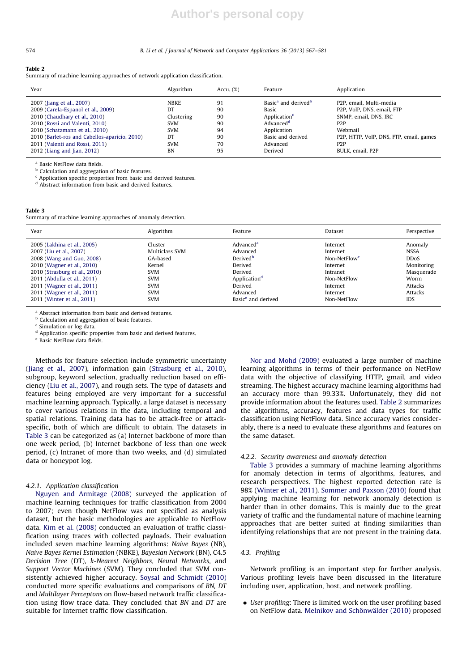# **Author's personal copy**

#### 574 B. Li et al. / Journal of Network and Computer Applications 36 (2013) 567–581

#### Table 2

Summary of machine learning approaches of network application classification.

| Year                                          | Algorithm   | Accu. $(\%)$ | Feature                                     | Application                                          |
|-----------------------------------------------|-------------|--------------|---------------------------------------------|------------------------------------------------------|
| 2007 (Jiang et al., 2007)                     | <b>NBKE</b> | 91           | Basic <sup>a</sup> and derived <sup>b</sup> | P <sub>2</sub> P. email. Multi-media                 |
| 2009 (Carela-Espanol et al., 2009)            | DT          | 90           | Basic                                       | P2P, VoIP, DNS, email, FTP                           |
| 2010 (Chaudhary et al., 2010)                 | Clustering  | 90           | Application <sup>c</sup>                    | SNMP, email, DNS, IRC                                |
| 2010 (Rossi and Valenti, 2010)                | <b>SVM</b>  | 90           | Advanced <sup>d</sup>                       | P <sub>2</sub> P                                     |
| 2010 (Schatzmann et al., 2010)                | <b>SVM</b>  | 94           | Application                                 | Webmail                                              |
| 2010 (Barlet-ros and Cabellos-aparicio, 2010) | DT          | 90           | Basic and derived                           | P <sub>2P</sub> , HTTP, VoIP, DNS, FTP, email, games |
| 2011 (Valenti and Rossi, 2011)                | <b>SVM</b>  | 70           | Advanced                                    | P <sub>2</sub> P                                     |
| 2012 (Liang and Jian, 2012)                   | BN          | 95           | Derived                                     | BULK, email, P2P                                     |

<sup>a</sup> Basic NetFlow data fields.

**b** Calculation and aggregation of basic features.

 $c$  Application specific properties from basic and derived features.

<sup>d</sup> Abstract information from basic and derived features.

#### Table 3

Summary of machine learning approaches of anomaly detection.

| Year                                                                                                                                                                                                                                          | Algorithm                                                                                               | Feature                                                                                                                            | Dataset                                                                                                         | Perspective                                                                                    |
|-----------------------------------------------------------------------------------------------------------------------------------------------------------------------------------------------------------------------------------------------|---------------------------------------------------------------------------------------------------------|------------------------------------------------------------------------------------------------------------------------------------|-----------------------------------------------------------------------------------------------------------------|------------------------------------------------------------------------------------------------|
| 2005 (Lakhina et al., 2005)<br>2007 (Liu et al., 2007)<br>2008 (Wang and Guo, 2008)<br>2010 (Wagner et al., 2010)<br>2010 (Strasburg et al., 2010)<br>2011 (Abdulla et al., 2011)<br>2011 (Wagner et al., 2011)<br>2011 (Wagner et al., 2011) | Cluster<br>Multiclass SVM<br>GA-based<br>Kernel<br><b>SVM</b><br><b>SVM</b><br><b>SVM</b><br><b>SVM</b> | Advanced <sup>a</sup><br>Advanced<br>Derived <sup>b</sup><br>Derived<br>Derived<br>Application <sup>d</sup><br>Derived<br>Advanced | Internet<br>Internet<br>Non-NetFlow <sup>c</sup><br>Internet<br>Intranet<br>Non-NetFlow<br>Internet<br>Internet | Anomaly<br>NSSA<br>D <sub>Do</sub> S<br>Monitoring<br>Masquerade<br>Worm<br>Attacks<br>Attacks |
| 2011 (Winter et al., 2011)                                                                                                                                                                                                                    | <b>SVM</b>                                                                                              | Basic <sup>e</sup> and derived                                                                                                     | Non-NetFlow                                                                                                     | IDS                                                                                            |

<sup>a</sup> Abstract information from basic and derived features.

**b** Calculation and aggregation of basic features.

<sup>c</sup> Simulation or log data.

<sup>d</sup> Application specific properties from basic and derived features.

<sup>e</sup> Basic NetFlow data fields.

Methods for feature selection include symmetric uncertainty (Jiang et al., 2007), information gain (Strasburg et al., 2010), subgroup, keyword selection, gradually reduction based on efficiency (Liu et al., 2007), and rough sets. The type of datasets and features being employed are very important for a successful machine learning approach. Typically, a large dataset is necessary to cover various relations in the data, including temporal and spatial relations. Training data has to be attack-free or attackspecific, both of which are difficult to obtain. The datasets in Table 3 can be categorized as (a) Internet backbone of more than one week period, (b) Internet backbone of less than one week period, (c) Intranet of more than two weeks, and (d) simulated data or honeypot log.

#### 4.2.1. Application classification

Nguyen and Armitage (2008) surveyed the application of machine learning techniques for traffic classification from 2004 to 2007; even though NetFlow was not specified as analysis dataset, but the basic methodologies are applicable to NetFlow data. Kim et al. (2008) conducted an evaluation of traffic classification using traces with collected payloads. Their evaluation included seven machine learning algorithms: Naive Bayes (NB), Naive Bayes Kernel Estimation (NBKE), Bayesian Network (BN), C4.5 Decision Tree (DT), k-Nearest Neighbors, Neural Networks, and Support Vector Machines (SVM). They concluded that SVM consistently achieved higher accuracy. Soysal and Schmidt (2010) conducted more specific evaluations and comparisons of BN, DT and Multilayer Perceptons on flow-based network traffic classification using flow trace data. They concluded that BN and DT are suitable for Internet traffic flow classification.

Nor and Mohd (2009) evaluated a large number of machine learning algorithms in terms of their performance on NetFlow data with the objective of classifying HTTP, gmail, and video streaming. The highest accuracy machine learning algorithms had an accuracy more than 99.33%. Unfortunately, they did not provide information about the features used. Table 2 summarizes the algorithms, accuracy, features and data types for traffic classification using NetFlow data. Since accuracy varies considerably, there is a need to evaluate these algorithms and features on the same dataset.

# 4.2.2. Security awareness and anomaly detection

Table 3 provides a summary of machine learning algorithms for anomaly detection in terms of algorithms, features, and research perspectives. The highest reported detection rate is 98% (Winter et al., 2011). Sommer and Paxson (2010) found that applying machine learning for network anomaly detection is harder than in other domains. This is mainly due to the great variety of traffic and the fundamental nature of machine learning approaches that are better suited at finding similarities than identifying relationships that are not present in the training data.

# 4.3. Profiling

Network profiling is an important step for further analysis. Various profiling levels have been discussed in the literature including user, application, host, and network profiling.

• User profiling: There is limited work on the user profiling based on NetFlow data. Melnikov and Schönwälder (2010) proposed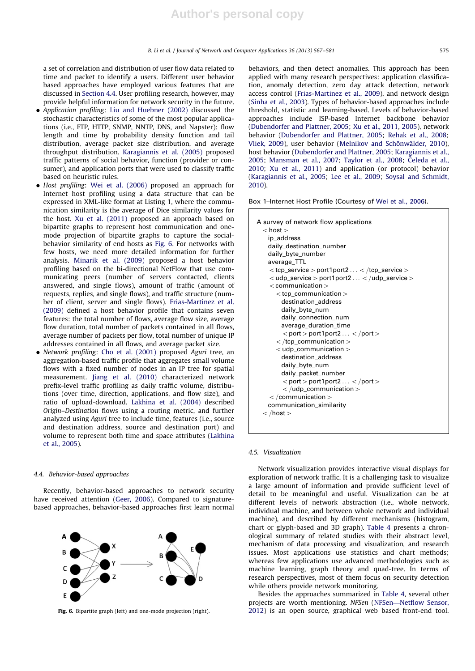a set of correlation and distribution of user flow data related to time and packet to identify a users. Different user behavior based approaches have employed various features that are discussed in Section 4.4. User profiling research, however, may provide helpful information for network security in the future.

- $\bullet$  Application profiling: Liu and Huebner (2002) discussed the stochastic characteristics of some of the most popular applications (i.e., FTP, HTTP, SNMP, NNTP, DNS, and Napster): flow length and time by probability density function and tail distribution, average packet size distribution, and average throughput distribution. Karagiannis et al. (2005) proposed traffic patterns of social behavior, function (provider or consumer), and application ports that were used to classify traffic based on heuristic rules.
- $\bullet$  Host profiling: Wei et al. (2006) proposed an approach for Internet host profiling using a data structure that can be expressed in XML-like format at Listing 1, where the communication similarity is the average of Dice similarity values for the host. Xu et al. (2011) proposed an approach based on bipartite graphs to represent host communication and onemode projection of bipartite graphs to capture the socialbehavior similarity of end hosts as Fig. 6. For networks with few hosts, we need more detailed information for further analysis. Minarik et al. (2009) proposed a host behavior profiling based on the bi-directional NetFlow that use communicating peers (number of servers contacted, clients answered, and single flows), amount of traffic (amount of requests, replies, and single flows), and traffic structure (number of client, server and single flows). Frias-Martinez et al. (2009) defined a host behavior profile that contains seven features: the total number of flows, average flow size, average flow duration, total number of packets contained in all flows, average number of packets per flow, total number of unique IP addresses contained in all flows, and average packet size.
- $\bullet$  Network profiling: Cho et al. (2001) proposed Aguri tree, an aggregation-based traffic profile that aggregates small volume flows with a fixed number of nodes in an IP tree for spatial measurement. Jiang et al. (2010) characterized network prefix-level traffic profiling as daily traffic volume, distributions (over time, direction, applications, and flow size), and ratio of upload-download. Lakhina et al. (2004) described Origin–Destination flows using a routing metric, and further analyzed using Aguri tree to include time, features (i.e., source and destination address, source and destination port) and volume to represent both time and space attributes (Lakhina et al., 2005).

# 4.4. Behavior-based approaches

Recently, behavior-based approaches to network security have received attention (Geer, 2006). Compared to signaturebased approaches, behavior-based approaches first learn normal



behaviors, and then detect anomalies. This approach has been applied with many research perspectives: application classification, anomaly detection, zero day attack detection, network access control (Frias-Martinez et al., 2009), and network design (Sinha et al., 2003). Types of behavior-based approaches include threshold, statistic and learning-based. Levels of behavior-based approaches include ISP-based Internet backbone behavior (Dubendorfer and Plattner, 2005; Xu et al., 2011, 2005), network behavior (Dubendorfer and Plattner, 2005; Rehak et al., 2008; Vliek, 2009), user behavior (Melnikov and Schönwälder, 2010), host behavior (Dubendorfer and Plattner, 2005; Karagiannis et al., 2005; Mansman et al., 2007; Taylor et al., 2008; Čeleda et al., 2010; Xu et al., 2011) and application (or protocol) behavior (Karagiannis et al., 2005; Lee et al., 2009; Soysal and Schmidt, 2010).

Box 1–Internet Host Profile (Courtesy of Wei et al., 2006).

| A survey of network flow applications                                       |
|-----------------------------------------------------------------------------|
| $<$ host $>$                                                                |
| ip_address                                                                  |
| daily_destination_number                                                    |
| daily byte number                                                           |
| average_TTL                                                                 |
| $\langle$ tcp_service $\rangle$ port1port2 $\langle$ /tcp_service $\rangle$ |
| $\langle$ udp_service $>$ port1port2 $\langle$ /udp_service $>$             |
| $<$ communication $>$                                                       |
| $<$ tcp_communication $>$                                                   |
| destination address                                                         |
| daily_byte_num                                                              |
| daily_connection_num                                                        |
| average_duration_time                                                       |
| $<$ port $>$ port1port2 $<$ /port $>$                                       |
| $\langle$ /tcp_communication $>$                                            |
| $<$ udp_communication $>$                                                   |
| destination address                                                         |
| daily_byte_num                                                              |
| daily_packet_number                                                         |
| $<$ port $>$ port1port2 $<$ /port $>$                                       |
| $<$ /udp_communication $>$                                                  |
| $<$ /communication >                                                        |
| communication_similarity                                                    |
| $\langle$ /host $>$                                                         |
|                                                                             |

# 4.5. Visualization

Network visualization provides interactive visual displays for exploration of network traffic. It is a challenging task to visualize a large amount of information and provide sufficient level of detail to be meaningful and useful. Visualization can be at different levels of network abstraction (i.e., whole network, individual machine, and between whole network and individual machine), and described by different mechanisms (histogram, chart or glyph-based and 3D graph). Table 4 presents a chronological summary of related studies with their abstract level, mechanism of data processing and visualization, and research issues. Most applications use statistics and chart methods; whereas few applications use advanced methodologies such as machine learning, graph theory and quad-tree. In terms of research perspectives, most of them focus on security detection while others provide network monitoring.

Besides the approaches summarized in Table 4, several other projects are worth mentioning. NFSen (NFSen—Netflow Sensor, Fig. 6. Bipartite graph (left) and one-mode projection (right). 2012) is an open source, graphical web based front-end tool.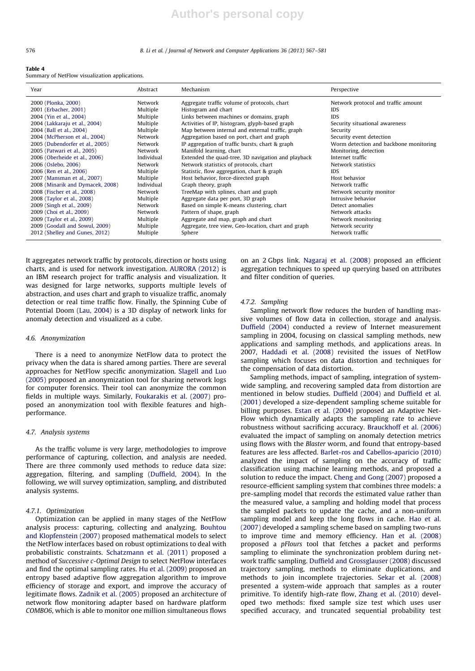#### B. Li et al. / Journal of Network and Computer Applications 36 (2013) 567-581

| I<br>$\sim$ | I |
|-------------|---|
|             |   |

| ۰. |  |
|----|--|
|----|--|

Summary of NetFlow visualization applications.

| Year                             | Abstract   | Mechanism                                           | Perspective                            |
|----------------------------------|------------|-----------------------------------------------------|----------------------------------------|
| 2000 (Plonka, 2000)              | Network    | Aggregate traffic volume of protocols, chart        | Network protocol and traffic amount    |
| 2001 (Erbacher, 2001)            | Multiple   | Histogram and chart                                 | <b>IDS</b>                             |
| 2004 (Yin et al., 2004)          | Multiple   | Links between machines or domains, graph            | <b>IDS</b>                             |
| 2004 (Lakkaraju et al., 2004)    | Multiple   | Activities of IP, histogram, glyph-based graph      | Security situational awareness         |
| 2004 (Ball et al., 2004)         | Multiple   | Map between internal and external traffic, graph    | Security                               |
| 2004 (McPherson et al., 2004)    | Network    | Aggregation based on port, chart and graph          | Security event detection               |
| 2005 (Dubendorfer et al., 2005)  | Network    | IP aggregation of traffic bursts, chart & graph     | Worm detection and backbone monitoring |
| 2005 (Patwari et al., 2005)      | Network    | Manifold learning, chart                            | Monitoring, detection                  |
| 2006 (Oberheide et al., 2006)    | Individual | Extended the quad-tree, 3D navigation and playback  | Internet traffic                       |
| 2006 (Oslebo, 2006)              | Network    | Network statistics of protocols, chart              | Network statistics                     |
| 2006 (Ren et al., 2006)          | Multiple   | Statistic, flow aggregation, chart & graph          | <b>IDS</b>                             |
| 2007 (Mansman et al., 2007)      | Multiple   | Host behavior, force-directed graph                 | Host behavior                          |
| 2008 (Minarik and Dymacek, 2008) | Individual | Graph theory, graph                                 | Network traffic                        |
| 2008 (Fischer et al., 2008)      | Network    | TreeMap with splines, chart and graph               | Network security monitor               |
| 2008 (Taylor et al., 2008)       | Multiple   | Aggregate data per port, 3D graph                   | Intrusive behavior                     |
| 2009 (Singh et al., 2009)        | Network    | Based on simple K-means clustering, chart           | Detect anomalies                       |
| 2009 (Choi et al., 2009)         | Network    | Pattern of shape, graph                             | Network attacks                        |
| 2009 (Taylor et al., 2009)       | Multiple   | Aggregate and map, graph and chart                  | Network monitoring                     |
| 2009 (Goodall and Sowul, 2009)   | Multiple   | Aggregate, tree view, Geo-location, chart and graph | Network security                       |
| 2012 (Shelley and Gunes, 2012)   | Multiple   | Sphere                                              | Network traffic                        |

It aggregates network traffic by protocols, direction or hosts using charts, and is used for network investigation. AURORA (2012) is an IBM research project for traffic analysis and visualization. It was designed for large networks, supports multiple levels of abstraction, and uses chart and graph to visualize traffic, anomaly detection or real time traffic flow. Finally, the Spinning Cube of Potential Doom (Lau, 2004) is a 3D display of network links for anomaly detection and visualized as a cube.

# 4.6. Anonymization

There is a need to anonymize NetFlow data to protect the privacy when the data is shared among parties. There are several approaches for NetFlow specific anonymization. Slagell and Luo (2005) proposed an anonymization tool for sharing network logs for computer forensics. Their tool can anonymize the common fields in multiple ways. Similarly, Foukarakis et al. (2007) proposed an anonymization tool with flexible features and highperformance.

# 4.7. Analysis systems

As the traffic volume is very large, methodologies to improve performance of capturing, collection, and analysis are needed. There are three commonly used methods to reduce data size: aggregation, filtering, and sampling (Duffield, 2004). In the following, we will survey optimization, sampling, and distributed analysis systems.

#### 4.7.1. Optimization

Optimization can be applied in many stages of the NetFlow analysis process: capturing, collecting and analyzing. Bouhtou and Klopfenstein (2007) proposed mathematical models to select the NetFlow interfaces based on robust optimizations to deal with probabilistic constraints. Schatzmann et al. (2011) proposed a method of Successive c-Optimal Design to select NetFlow interfaces and find the optimal sampling rates. Hu et al. (2009) proposed an entropy based adaptive flow aggregation algorithm to improve efficiency of storage and export, and improve the accuracy of legitimate flows. Zadnik et al. (2005) proposed an architecture of network flow monitoring adapter based on hardware platform COMBO6, which is able to monitor one million simultaneous flows on an 2 Gbps link. Nagaraj et al. (2008) proposed an efficient aggregation techniques to speed up querying based on attributes and filter condition of queries.

# 4.7.2. Sampling

Sampling network flow reduces the burden of handling massive volumes of flow data in collection, storage and analysis. Duffield (2004) conducted a review of Internet measurement sampling in 2004, focusing on classical sampling methods, new applications and sampling methods, and applications areas. In 2007, Haddadi et al. (2008) revisited the issues of NetFlow sampling which focuses on data distortion and techniques for the compensation of data distortion.

Sampling methods, impact of sampling, integration of systemwide sampling, and recovering sampled data from distortion are mentioned in below studies. Duffield (2004) and Duffield et al. (2001) developed a size-dependent sampling scheme suitable for billing purposes. Estan et al. (2004) proposed an Adaptive Net-Flow which dynamically adapts the sampling rate to achieve robustness without sacrificing accuracy. Brauckhoff et al. (2006) evaluated the impact of sampling on anomaly detection metrics using flows with the Blaster worm, and found that entropy-based features are less affected. Barlet-ros and Cabellos-aparicio (2010) analyzed the impact of sampling on the accuracy of traffic classification using machine learning methods, and proposed a solution to reduce the impact. Cheng and Gong (2007) proposed a resource-efficient sampling system that combines three models: a pre-sampling model that records the estimated value rather than the measured value, a sampling and holding model that process the sampled packets to update the cache, and a non-uniform sampling model and keep the long flows in cache. Hao et al. (2007) developed a sampling scheme based on sampling two-runs to improve time and memory efficiency. Han et al. (2008) proposed a pFlours tool that fetches a packet and performs sampling to eliminate the synchronization problem during network traffic sampling. Duffield and Grossglauser (2008) discussed trajectory sampling, methods to eliminate duplications, and methods to join incomplete trajectories. Sekar et al. (2008) presented a system-wide approach that samples as a router primitive. To identify high-rate flow, Zhang et al. (2010) developed two methods: fixed sample size test which uses user specified accuracy, and truncated sequential probability test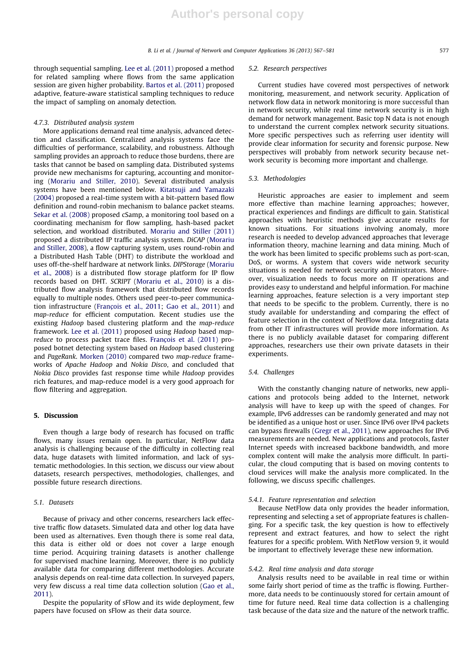through sequential sampling. Lee et al. (2011) proposed a method for related sampling where flows from the same application session are given higher probability. Bartos et al. (2011) proposed adaptive, feature-aware statistical sampling techniques to reduce the impact of sampling on anomaly detection.

### 4.7.3. Distributed analysis system

More applications demand real time analysis, advanced detection and classification. Centralized analysis systems face the difficulties of performance, scalability, and robustness. Although sampling provides an approach to reduce those burdens, there are tasks that cannot be based on sampling data. Distributed systems provide new mechanisms for capturing, accounting and monitoring (Morariu and Stiller, 2010). Several distributed analysis systems have been mentioned below. Kitatsuji and Yamazaki (2004) proposed a real-time system with a bit-pattern based flow definition and round-robin mechanism to balance packet steams. Sekar et al. (2008) proposed cSamp, a monitoring tool based on a coordinating mechanism for flow sampling, hash-based packet selection, and workload distributed. Morariu and Stiller (2011) proposed a distributed IP traffic analysis system. DiCAP (Morariu and Stiller, 2008), a flow capturing system, uses round-robin and a Distributed Hash Table (DHT) to distribute the workload and uses off-the-shelf hardware at network links. DIPStorage (Morariu et al., 2008) is a distributed flow storage platform for IP flow records based on DHT. SCRIPT (Morariu et al., 2010) is a distributed flow analysis framework that distributed flow records equally to multiple nodes. Others used peer-to-peer communication infrastructure (François et al., 2011; Gao et al., 2011) and map-reduce for efficient computation. Recent studies use the existing Hadoop based clustering platform and the map-reduce framework. Lee et al. (2011) proposed using Hadoop based mapreduce to process packet trace files. François et al. (2011) proposed botnet detecting system based on Hadoop based clustering and PageRank. Morken (2010) compared two map-reduce frameworks of Apache Hadoop and Nokia Disco, and concluded that Nokia Disco provides fast response time while Hadoop provides rich features, and map-reduce model is a very good approach for flow filtering and aggregation.

# 5. Discussion

Even though a large body of research has focused on traffic flows, many issues remain open. In particular, NetFlow data analysis is challenging because of the difficulty in collecting real data, huge datasets with limited information, and lack of systematic methodologies. In this section, we discuss our view about datasets, research perspectives, methodologies, challenges, and possible future research directions.

# 5.1. Datasets

Because of privacy and other concerns, researchers lack effective traffic flow datasets. Simulated data and other log data have been used as alternatives. Even though there is some real data, this data is either old or does not cover a large enough time period. Acquiring training datasets is another challenge for supervised machine learning. Moreover, there is no publicly available data for comparing different methodologies. Accurate analysis depends on real-time data collection. In surveyed papers, very few discuss a real time data collection solution (Gao et al., 2011).

Despite the popularity of sFlow and its wide deployment, few papers have focused on sFlow as their data source.

# 5.2. Research perspectives

Current studies have covered most perspectives of network monitoring, measurement, and network security. Application of network flow data in network monitoring is more successful than in network security, while real time network security is in high demand for network management. Basic top N data is not enough to understand the current complex network security situations. More specific perspectives such as referring user identity will provide clear information for security and forensic purpose. New perspectives will probably from network security because network security is becoming more important and challenge.

# 5.3. Methodologies

Heuristic approaches are easier to implement and seem more effective than machine learning approaches; however, practical experiences and findings are difficult to gain. Statistical approaches with heuristic methods give accurate results for known situations. For situations involving anomaly, more research is needed to develop advanced approaches that leverage information theory, machine learning and data mining. Much of the work has been limited to specific problems such as port-scan, DoS, or worms. A system that covers wide network security situations is needed for network security administrators. Moreover, visualization needs to focus more on IT operations and provides easy to understand and helpful information. For machine learning approaches, feature selection is a very important step that needs to be specific to the problem. Currently, there is no study available for understanding and comparing the effect of feature selection in the context of NetFlow data. Integrating data from other IT infrastructures will provide more information. As there is no publicly available dataset for comparing different approaches, researchers use their own private datasets in their experiments.

# 5.4. Challenges

With the constantly changing nature of networks, new applications and protocols being added to the Internet, network analysis will have to keep up with the speed of changes. For example, IPv6 addresses can be randomly generated and may not be identified as a unique host or user. Since IPv6 over IPv4 packets can bypass firewalls (Gregr et al., 2011), new approaches for IPv6 measurements are needed. New applications and protocols, faster Internet speeds with increased backbone bandwidth, and more complex content will make the analysis more difficult. In particular, the cloud computing that is based on moving contents to cloud services will make the analysis more complicated. In the following, we discuss specific challenges.

#### 5.4.1. Feature representation and selection

Because NetFlow data only provides the header information, representing and selecting a set of appropriate features is challenging. For a specific task, the key question is how to effectively represent and extract features, and how to select the right features for a specific problem. With NetFlow version 9, it would be important to effectively leverage these new information.

# 5.4.2. Real time analysis and data storage

Analysis results need to be available in real time or within some fairly short period of time as the traffic is flowing. Furthermore, data needs to be continuously stored for certain amount of time for future need. Real time data collection is a challenging task because of the data size and the nature of the network traffic.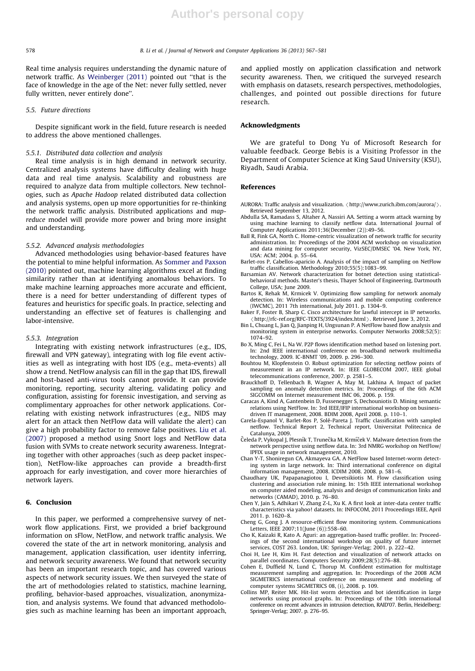Real time analysis requires understanding the dynamic nature of network traffic. As Weinberger (2011) pointed out ''that is the face of knowledge in the age of the Net: never fully settled, never fully written, never entirely done''.

### 5.5. Future directions

Despite significant work in the field, future research is needed to address the above mentioned challenges.

### 5.5.1. Distributed data collection and analysis

Real time analysis is in high demand in network security. Centralized analysis systems have difficulty dealing with huge data and real time analysis. Scalability and robustness are required to analyze data from multiple collectors. New technologies, such as Apache Hadoop related distributed data collection and analysis systems, open up more opportunities for re-thinking the network traffic analysis. Distributed applications and mapreduce model will provide more power and bring more insight and understanding.

#### 5.5.2. Advanced analysis methodologies

Advanced methodologies using behavior-based features have the potential to mine helpful information. As Sommer and Paxson (2010) pointed out, machine learning algorithms excel at finding similarity rather than at identifying anomalous behaviors. To make machine learning approaches more accurate and efficient, there is a need for better understanding of different types of features and heuristics for specific goals. In practice, selecting and understanding an effective set of features is challenging and labor-intensive.

# 5.5.3. Integration

Integrating with existing network infrastructures (e.g., IDS, firewall and VPN gateway), integrating with log file event activities as well as integrating with host IDS (e.g., meta-events) all show a trend. NetFlow analysis can fill in the gap that IDS, firewall and host-based anti-virus tools cannot provide. It can provide monitoring, reporting, security altering, validating policy and configuration, assisting for forensic investigation, and serving as complimentary approaches for other network applications. Correlating with existing network infrastructures (e.g., NIDS may alert for an attack then NetFlow data will validate the alert) can give a high probability factor to remove false positives. Liu et al. (2007) proposed a method using Snort logs and NetFlow data fusion with SVMs to create network security awareness. Integrating together with other approaches (such as deep packet inspection), NetFlow-like approaches can provide a breadth-first approach for early investigation, and cover more hierarchies of network layers.

# 6. Conclusion

In this paper, we performed a comprehensive survey of network flow applications. First, we provided a brief background information on sFlow, NetFlow, and network traffic analysis. We covered the state of the art in network monitoring, analysis and management, application classification, user identity inferring, and network security awareness. We found that network security has been an important research topic, and has covered various aspects of network security issues. We then surveyed the state of the art of methodologies related to statistics, machine learning, profiling, behavior-based approaches, visualization, anonymization, and analysis systems. We found that advanced methodologies such as machine learning has been an important approach, and applied mostly on application classification and network security awareness. Then, we critiqued the surveyed research with emphasis on datasets, research perspectives, methodologies, challenges, and pointed out possible directions for future research.

# Acknowledgments

We are grateful to Dong Yu of Microsoft Research for valuable feedback. George Bebis is a Visiting Professor in the Department of Computer Science at King Saud University (KSU), Riyadh, Saudi Arabia.

### References

- AURORA: Traffic analysis and visualization.  $\langle$  http://www.zurich.ibm.com/aurora/ $\rangle$ . Retrieved September 13, 2012.
- Abdulla SA, Ramadass S, Altaher A, Nassiri AA. Setting a worm attack warning by using machine learning to classify netflow data. International Journal of Computer Applications 2011;36(December (2)):49–56.
- Ball R, Fink GA, North C. Home-centric visualization of network traffic for security administration. In: Proceedings of the 2004 ACM workshop on visualization and data mining for computer security, VizSEC/DMSEC '04. New York, NY, USA: ACM; 2004. p. 55–64.
- Barlet-ros P, Cabellos-aparicio A. Analysis of the impact of sampling on NetFlow traffic classification. Methodology 2010;55(5):1083–99.
- Barsamian AV. Network characterization for botnet detection using statisticalbehavioral methods. Master's thesis, Thayer School of Engineering, Dartmouth College, USA; June 2009.
- Bartos K, Rehak M, Krmicek V. Optimizing flow sampling for network anomaly detection. In: Wireless communications and mobile computing conference (IWCMC), 2011 7th international, July 2011. p. 1304–9.
- Baker F, Foster B, Sharp C. Cisco architecture for lawful intercept in IP networks.  $\langle$ http://rfc-ref.org/RFC-TEXTS/3924/index.html  $\rangle$ . Retrieved June 3, 2012.
- Bin L, Chuang L, Jian Q, Jianping H, Ungsunan P. A NetFlow based flow analysis and monitoring system in enterprise networks. Computer Networks 2008;52(5): 1074–92.
- Bo X, Ming C, Fei L, Na W. P2P flows identification method based on listening port. In: 2nd IEEE international conference on broadband network multimedia technology, 2009. IC-BNMT '09, 2009. p. 296–300.
- Bouhtou M, Klopfenstein O. Robust optimization for selecting netflow points of measurement in an IP network. In: IEEE GLOBECOM 2007, IEEE global telecommunications conference, 2007. p. 2581–5.
- Brauckhoff D, Tellenbach B, Wagner A, May M, Lakhina A. Impact of packet sampling on anomaly detection metrics. In: Proceedings of the 6th ACM SIGCOMM on Internet measurement IMC 06, 2006. p. 159.
- Caracas A, Kind A, Gantenbein D, Fussenegger S, Dechouniotis D. Mining semantic relations using NetFlow. In: 3rd IEEE/IFIP international workshop on business-
- driven IT management, 2008. BDIM 2008, April 2008. p. 110–1. Carela-Espanol V, Barlet-Ros P, Sole´ -Pareta J. Traffic classification with sampled netflow. Technical Report 2, Technical report, Universitat Politecnica de Catalunya, 2009.
- Čeleda P, Vykopal J, Plesník T, Trunečka M, Krmíček V. Malware detection from the network perspective using netflow data. In: 3rd NMRG workshop on NetFlow/ IPFIX usage in network management, 2010.
- Chan Y-T, Shoniregun CA, Akmayeva GA. A NetFlow based Internet-worm detecting system in large network. In: Third international conference on digital information management, 2008. ICDIM 2008. 2008. p. 581–6.
- Chaudhary UK, Papapanagiotou I, Devetsikiotis M. Flow classification using clustering and association rule mining. In: 15th IEEE international workshop on computer aided modeling, analysis and design of communication links and networks (CAMAD), 2010. p. 76–80.
- Chen Y, Jain S, Adhikari V, Zhang Z-L, Xu K. A first look at inter-data center traffic characteristics via yahoo! datasets. In: INFOCOM, 2011 Proceedings IEEE, April 2011. p. 1620–8.
- Cheng G, Gong J. A resource-efficient flow monitoring system. Communications Letters, IEEE 2007;11(June (6)):558-60.
- Cho K, Kaizaki R, Kato A. Aguri: an aggregation-based traffic profiler. In: Proceedings of the second international workshop on quality of future internet services, COST 263. London, UK: Springer-Verlag; 2001. p. 222–42.
- Choi H, Lee H, Kim H. Fast detection and visualization of network attacks on parallel coordinates. Computers Security 2009;28(5):276–88.
- Cohen E, Duffield N, Lund C, Thorup M. Confident estimation for multistage measurement sampling and aggregation. In: Proceedings of the 2008 ACM SIGMETRICS international conference on measurement and modeling of computer systems SIGMETRICS 08, (i), 2008. p. 109.
- Collins MP, Reiter MK. Hit-list worm detection and bot identification in large networks using protocol graphs. In: Proceedings of the 10th international conference on recent advances in intrusion detection, RAID'07. Berlin, Heidelberg: Springer-Verlag; 2007. p. 276–95.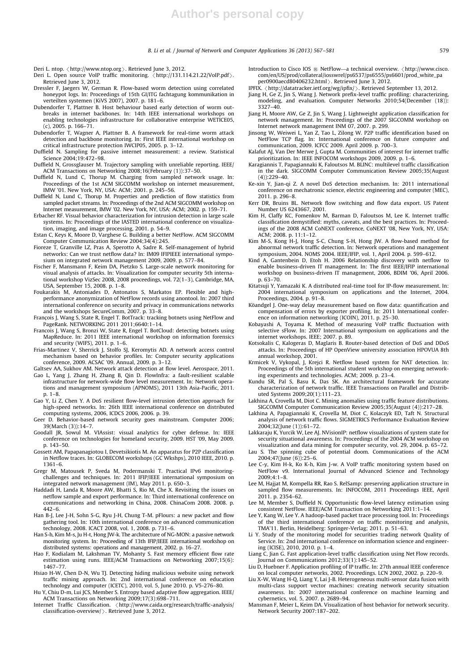#### B. Li et al. / Journal of Network and Computer Applications 36 (2013) 567-581 579

Deri L. ntop. < http://www.ntop.org >. Retrieved June 3, 2012.

- Deri L. Open source VoIP traffic monitoring. <http://131.114.21.22/VoIP.pdf>. Retrieved June 3, 2012.
- Dressler F, Jaegers W, German R. Flow-based worm detection using correlated honeypot logs. In: Proceedings of 15th GI/ITG fachtagung kommunikation in verteilten systemen (KiVS 2007), 2007. p. 181–6.
- Dubendorfer T, Plattner B. Host behaviour based early detection of worm outbreaks in internet backbones. In: 14th IEEE international workshops on enabling technologies infrastructure for collaborative enterprise WETICE05, (c), 2005. p. 166–71.
- Dubendorfer T, Wagner A, Plattner B. A framework for real-time worm attack detection and backbone monitoring. In: First IEEE international workshop on critical infrastructure protection IWCIP05, 2005. p. 3–12.
- Duffield N. Sampling for passive internet measurement: a review. Statistical Science 2004;19:472–98.
- Duffield N, Grossglauser M. Trajectory sampling with unreliable reporting. IEEE/ ACM Transactions on Networking 2008;16(February (1)):37–50.
- Duffield N, Lund C, Thorup M. Charging from sampled network usage. In: Proceedings of the 1st ACM SIGCOMM workshop on internet measurement, IMW '01. New York, NY, USA: ACM; 2001. p. 245–56.
- Duffield N, Lund C, Thorup M. Properties and prediction of flow statistics from sampled packet streams. In: Proceedings of the 2nd ACM SIGCOMM workshop on Internet measurement, IMW '02. New York, NY, USA: ACM; 2002. p. 159–71.
- Erbacher RF. Visual behavior characterization for intrusion detection in large scale systems. In: Proceedings of the IASTED international conference on visualization, imaging, and image processing, 2001. p. 54–9.
- Estan C, Keys K, Moore D, Varghese G. Building a better NetFlow. ACM SIGCOMM Computer Communication Review 2004;34(4):245.
- Fioreze T, Granville LZ, Pras A, Sperotto A, Sadre R. Self-management of hybrid networks: Can we trust netflow data? In: IM09 IFIPIEEE international symposium on integrated network management 2009, 2009. p. 577–84.
- Fischer F, Mansmann F, Keim DA, Pietzko S. Large-scale network monitoring for visual analysis of attacks. In: Visualization for computer security 5th international workshop VizSec 2008, 2008 proceedings, vol. 72(1–3), Cambridge, MA, USA, September 15, 2008. p. 1–8.
- Foukarakis M, Antoniades D, Antonatos S, Markatos EP. Flexible and highperformance anonymization of NetFlow records using anontool. In: 2007 third international conference on security and privacy in communications networks and the workshops SecureComm, 2007. p. 33–8.
- Francois J, Wang S, State R, Engel T. BotTrack: tracking botnets using NetFlow and PageRank. NETWORKING 2011 2011;6640:1–14.
- Francois J, Wang S, Bronzi W, State R, Engel T. BotCloud: detecting botnets using MapReduce. In: 2011 IEEE international workshop on information forensics and security (WIFS), 2011. p. 1–6.
- Frias-Martinez V, Sherrick J, Stolfo SJ, Keromytis AD. A network access control mechanism based on behavior profiles. In: Computer security applications conference, 2009. ACSAC '09. Annual, 2009. p. 3–12.
- Galtsev AA, Sukhov AM. Network attack detection at flow level. Aerospace, 2011.
- Gao L, Yang J, Zhang H, Zhang B, Qin D. FlowInfra: a fault-resilient scalable infrastructure for network-wide flow level measurement. In: Network operations and management symposium (APNOMS), 2011 13th Asia-Pacific, 2011. p. 1–8.
- Gao Y, Li Z, Chen Y. A DoS resilient flow-level intrusion detection approach for high-speed networks. In: 26th IEEE international conference on distributed computing systems, 2006, ICDCS 2006, 2006. p. 39.
- Geer D. Behavior-based network security goes mainstream. Computer 2006; 39(March (3)):14–7.
- Goodall JR, Sowul M. VIAssist: visual analytics for cyber defense. In: IEEE conference on technologies for homeland security, 2009. HST '09, May 2009. p. 143–50.
- Gossett AM, Papapanagiotou I, Devetsikiotis M. An apparatus for P2P classification in Netflow traces. In: GLOBECOM workshops (GC Wkshps), 2010 IEEE, 2010. p. 1361–6.
- Gregr M, Matousek P, Sveda M, Podermanski T. Practical IPv6 monitoringchallenges and techniques. In: 2011 IFIP/IEEE international symposium on integrated network management (IM), May 2011. p. 650–3.
- Haddadi H, Landa R, Moore AW, Bhatti S, Rio M, Che X. Revisiting the issues on netflow sample and export performance. In: Third international conference on communications and networking in China, 2008. ChinaCom 2008. 2008. p. 442–6.
- Han B-J, Lee J-H, Sohn S-G, Ryu J-H, Chung T-M. pFlours: a new packet and flow gathering tool. In: 10th international conference on advanced communication technology, 2008. ICACT 2008, vol. 1, 2008. p. 731–6.
- Han S-h, Kim M-s, Ju H-t, Hong JW-k. The architecture of NG-MON: a passive network monitoring system. In: Proceeding of 13th IFIP/IEEE international workshop on distributed systems: operations and management, 2002. p. 16–27.
- Hao F, Kodialam M, Lakshman TV, Mohanty S. Fast memory efficient flow rate estimation using runs. IEEE/ACM Transactions on Networking 2007;15(6): 1467–77.
- Hsiao H-W, Chen D-N, Wu TJ. Detecting hiding malicious website using network traffic mining approach. In: 2nd international conference on education technology and computer (ICETC), 2010, vol. 5, June 2010. p. V5-276–80.
- Hu Y, Chiu D-m, Lui JCS, Member S. Entropy based adaptive flow aggregation. IEEE/ ACM Transactions on Networking 2009;17(3):698–711.
- Internet Traffic Classification. /http://www.caida.org/research/traffic-analysis/  $\text{classification-overview} \rangle$ . Retrieved June 3, 2012.
- Introduction to Cisco IOS ® NetFlow—a technical overview. <http://www.cisco. com/en/US/prod/collateral/iosswrel/ps6537/ps6555/ps6601/prod\_white\_pa per0900aecd80406232.html $\rangle$ . Retrieved June 3, 2012.
- IPFIX. <http://datatracker.ietf.org/wg/ipfix/>. Retrieved September 13, 2012.<br>Jiang H, Ge Z, Jin S, Wang J. Network prefix-level traffic profiling: characterizing,
- modeling, and evaluation. Computer Networks 2010;54(December (18)): 3327–40.
- Jiang H, Moore AW, Ge Z, Jin S, Wang J. Lightweight application classification for network management. In: Proceedings of the 2007 SIGCOMM workshop on Internet network management INM 07, 2007. p. 299.
- Jinsong W, Weiwei L, Yan Z, Tao L, Zilong W. P2P traffic identification based on NetFlow TCP flag. In: International conference on future computer and communication, 2009. ICFCC 2009. April 2009. p. 700–3.
- Kalafut AJ, Van Der Merwe J, Gupta M. Communities of interest for internet traffic prioritization. In: IEEE INFOCOM workshops 2009, 2009. p. 1–6.
- Karagiannis T, Papagiannaki K, Faloutsos M. BLINC: multilevel traffic classification in the dark. SIGCOMM Computer Communication Review 2005;35(August  $(4)$ : 229-40.
- Ke-xin Y, Jian-qi Z. A novel DoS detection mechanism. In: 2011 international conference on mechatronic science, electric engineering and computer (MEC), 2011. p. 296–8.
- Kerr DR, Bruins BL. Network flow switching and flow data export. US Patent Number US 6243667, 2001.
- Kim H, Claffy KC, Fomenkov M, Barman D, Faloutsos M, Lee K. Internet traffic classification demystified: myths, caveats, and the best practices. In: Proceedings of the 2008 ACM CoNEXT conference, CoNEXT '08, New York, NY, USA: ACM; 2008. p. 11:1–12.
- Kim M-S, Kong H-J, Hong S-C, Chung S-H, Hong JW. A flow-based method for abnormal network traffic detection. In: Network operations and management symposium, 2004. NOMS 2004. IEEE/IFIP, vol. 1, April 2004. p. 599–612.
- Kind A, Gantenbein D, Etoh H. 2006 Relationship discovery with netflow to enable business-driven IT management. In: The first IEEE/IFIP international workshop on business-driven IT management, 2006, BDIM '06, April 2006. p. 63–70.
- Kitatsuji Y, Yamazaki K. A distributed real-time tool for IP-flow measurement. In: 2004 international symposium on applications and the Internet, 2004. Proceedings, 2004. p. 91–8.
- Köandgel J. One-way delay measurement based on flow data: quantification and compensation of errors by exporter profiling. In: 2011 International conference on information networking (ICOIN), 2011. p. 25–30.
- Kobayashi A, Toyama K. Method of measuring VoIP traffic fluctuation with selective sFlow. In: 2007 International symposium on applications and the internet workshops. IEEE; 2007. p. 89.
- Kotsokalis C, Kalogeras D, Maglaris B. Router-based detection of DoS and DDoS attacks. In: Proceedings of HP OpenView university association HPOVUA 8th annual workshop, 2001.
- Krmicek V, Vykopal, J, Krejci R. Netflow based system for NAT detection. In: Proceedings of the 5th international student workshop on emerging networking experiments and technologies. ACM; 2009. p. 23–4.
- Kundu SR, Pal S, Basu K, Das SK. An architectural framework for accurate characterization of network traffic. IEEE Transactions on Parallel and Distributed Systems 2009;20(1):111–23.
- Lakhina A, Crovella M, Diot C. Mining anomalies using traffic feature distributions. SIGCOMM Computer Communication Review 2005;35(August (4)):217–28.
- Lakhina A, Papagiannaki K, Crovella M, Diot C, Kolaczyk ED, Taft N. Structural analysis of network traffic flows. SIGMETRICS Performance Evaluation Review 2004;32(June (1)):61–72.
- Lakkaraju K, Yurcik W, Lee AJ. NVisionIP: netflow visualizations of system state for security situational awareness. In: Proceedings of the 2004 ACM workshop on visualization and data mining for computer security, vol. 29, 2004. p. 65–72.
- Lau S. The spinning cube of potential doom. Communications of the ACM 2004;47(June (6)):25–6.
- C-y, Kim H-k, Ko K-h, Kim J-w. A VoIP traffic monitoring system based on NetFlow v9. International Journal of Advanced Science and Technology 2009;4:1–8.
- Lee M, Hajjat M, Kompella RR, Rao S. RelSamp: preserving application structure in sampled flow measurements. In: INFOCOM, 2011 Proceedings IEEE, April 2011. p. 2354–62.
- Lee M, Member S, Duffield N. Opportunistic flow-level latency estimation using consistent NetFlow. IEEE/ACM Transaction on Networking 2011:1–14.
- Lee Y, Kang W, Lee Y. A hadoop-based packet trace processing tool. In: Proceedings of the third international conference on traffic monitoring and analysis, TMA'11. Berlin, Heidelberg: Springer-Verlag; 2011. p. 51–63.
- Li Y. Study of the monitoring model for securities trading network Quality of Service. In: 2nd international conference on information science and engineering (ICISE), 2010, 2010. p. 1–4.
- Liang C, Jian G. Fast application-level traffic classification using Net Flow records. Journal on Communications 2012;33(1):145–52.
- Liu D, Huebner F. Application profiling of IP traffic. In: 27th annual IEEE conference on local computer networks, 2002. Proceedings. LCN 2002, 2002. p. 220–9.
- Liu X-W, Wang H-Q, Liang Y, Lai J-B. Heterogeneous multi-sensor data fusion with multi-class support vector machines: creating network security situation awareness. In: 2007 international conference on machine learning and cybernetics, vol. 5, 2007. p. 2689–94.
- Mansman F, Meier L, Keim DA. Visualization of host behavior for network security. Network Security 2007:187–202.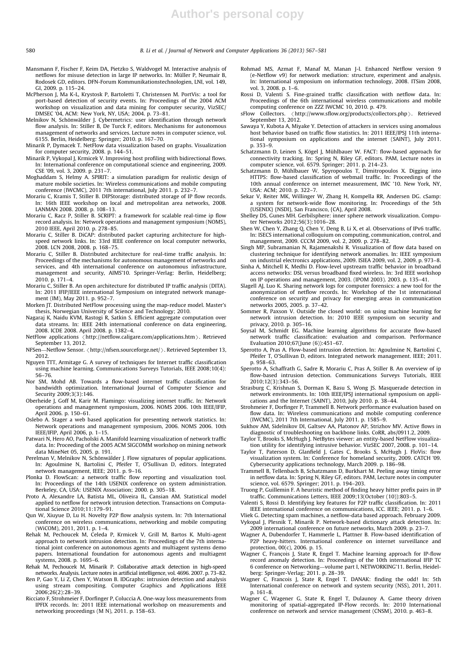# **Author's personal copy**

#### 580 B. Li et al. / Journal of Network and Computer Applications 36 (2013) 567–581

- Mansmann F, Fischer F, Keim DA, Pietzko S, Waldvogel M. Interactive analysis of netflows for misuse detection in large IP networks. In: Müller P, Neumair B, Rodosek GD, editors. DFN-Forum Kommunikationstechnologien, LNI, vol. 149, GI, 2009. p. 115–24.
- McPherson J, Ma K-L, Krystosk P, Bartoletti T, Christensen M. PortVis: a tool for port-based detection of security events. In: Proceedings of the 2004 ACM workshop on visualization and data mining for computer security, VizSEC/ DMSEC '04, ACM: New York, NY, USA; 2004. p. 73–81.
- Melnikov N, Schönwälder J. Cybermetrics: user identification through network flow analysis. In: Stiller B, De Turck F, editors. Mechanisms for autonomous management of networks and services. Lecture notes in computer science, vol. 6155. Berlin, Heidelberg: Springer; 2010. p. 167–70.
- Minarik P, Dymacek T. NetFlow data visualization based on graphs. Visualization for computer security, 2008. p. 144–51.
- Minarik P, Vykopal J, Krmicek V. Improving host profiling with bidirectional flows. In: International conference on computational science and engineering, 2009. CSE '09, vol. 3, 2009. p. 231–7.
- Moghaddam S, Helmy A. SPIRIT: a simulation paradigm for realistic design of mature mobile societies. In: Wireless communications and mobile computing conference (IWCMC), 2011 7th international, July 2011. p. 232–7.
- Morariu C, Kramis T, Stiller B. DIPStorage: distributed storage of IP flow records. In: 16th IEEE workshop on local and metropolitan area networks, 2008. LANMAN 2008. 2008. p. 108–13.
- Morariu C, Racz P, Stiller B. SCRIPT: a framework for scalable real-time in flow record analysis. In: Network operations and management symposium (NOMS), 2010 IEEE, April 2010. p. 278–85.
- Morariu C, Stiller B. DiCAP: distributed packet capturing architecture for highspeed network links. In: 33rd IEEE conference on local computer networks, 2008. LCN 2008, 2008. p. 168–75.
- Morariu C, Stiller B. Distributed architecture for real-time traffic analysis. In: Proceedings of the mechanisms for autonomous management of networks and services, and 4th international conference on autonomous infrastructure, management and security, AIMS'10. Springer-Verlag: Berlin, Heidelberg; 2010. p. 171–4.
- Morariu C, Stiller B. An open architecture for distributed IP traffic analysis (DITA). In: 2011 IFIP/IEEE international Symposium on integrated network management (IM), May 2011. p. 952–7.
- Morken JT. Distributed NetFlow processing using the map-reduce model. Master's thesis, Norwegian University of Science and Technology; 2010.
- Nagaraj K, Naidu KVM, Rastogi R, Satkin S. Efficient aggregate computation over data streams. In: IEEE 24th international conference on data engineering, 2008. ICDE 2008. April 2008. p. 1382–4.
- NetFlow applications  $\langle$  http://netflow.caligare.com/applications.htm $\rangle$ . Retrieved September 13, 2012.
- NFSen—Netflow Sensor. <http://nfsen.sourceforge.net/>. Retrieved September 13, 2012.
- Nguyen TTT, Armitage G. A survey of techniques for Internet traffic classification using machine learning. Communications Surveys Tutorials, IEEE 2008;10(4): 56–76.
- Nor SM, Mohd AB. Towards a flow-based internet traffic classification for bandwidth optimization. International Journal of Computer Science and Security 2009:3(3):146
- Oberheide J, Goff M, Karir M. Flamingo: visualizing internet traffic. In: Network operations and management symposium, 2006. NOMS 2006. 10th IEEE/IFIP, April 2006. p. 150–61.
- Oslebo A. Stager a web based application for presenting network statistics. In: Network operations and management symposium, 2006. NOMS 2006. 10th IEEE/IFIP, April 2006, p. 1–15.
- Patwari N, Hero AO, Pacholski A. Manifold learning visualization of network traffic data. In: Proceeding of the 2005 ACM SIGCOMM workshop on mining network data MineNet 05, 2005. p. 191.
- Perelman V, Melnikov N, Schönwälder J. Flow signatures of popular applications. In: Agoulmine N, Bartolini C, Pfeifer T, O'Sullivan D, editors. Integrated network management, IEEE; 2011. p. 9–16.
- Plonka D. FlowScan: a network traffic flow reporting and visualization tool. In: Proceedings of the 14th USENIX conference on system administration. Berkeley, CA, USA: USENIX Association; 2000. p. 305–18.
- Proto A, Alexandre LA, Batista ML, Oliveira IL, Cansian AM. Statistical model applied to netflow for network intrusion detection. Transactions on Computational Science 2010;11:179–91.
- Qun W, Xiuyue D, Lu H. Novelty P2P flow analysis system. In: 7th International conference on wireless communications, networking and mobile computing (WiCOM), 2011, 2011. p. 1–4.
- Rehak M, Pechoucek M, Celeda P, Krmicek V, Grill M, Bartos K. Multi-agent approach to network intrusion detection. In: Proceedings of the 7th international joint conference on autonomous agents and multiagent systems demo papers. International foundation for autonomous agents and multiagent systems, 2008. p. 1695–6.
- Rehak M, Pechoucek M, Minarik P. Collaborative attack detection in high-speed networks. Analysis. Lecture notes in artificial intelligence, vol. 4696. 2007. p. 73–82.
- Ren P, Gao Y, Li Z, Chen Y, Watson B. IDGraphs: intrusion detection and analysis using stream compositing. Computer Graphics and Applications IEEE 2006;26(2):28–39.
- Ricciato F, Strohmeier F, Dorfinger P, Coluccia A. One-way loss measurements from IPFIX records. In: 2011 IEEE international workshop on measurements and networking proceedings (M N), 2011. p. 158–63.
- Rohmad MS, Azmat F, Manaf M, Manan J-l. Enhanced Netflow version 9 (e-Netflow v9) for network mediation: structure, experiment and analysis. In: International symposium on information technology, 2008. ITSim 2008, vol. 3, 2008. p. 1–6.
- Rossi D, Valenti S. Fine-grained traffic classification with netflow data. In: Proceedings of the 6th international wireless communications and mobile computing conference on ZZZ IWCMC 10, 2010. p. 479.
- sFlow Collectors. < http://www.sflow.org/products/collectors.php >. Retrieved September 13, 2012.
- Sawaya Y, Kubota A, Miyake Y. Detection of attackers in services using anomalous host behavior based on traffic flow statistics. In: 2011 IEEE/IPSI 11th international symposium on applications and the internet (SAINT), July 2011. p. 353–9.
- Schatzmann D, Leinen S, Kögel J, Mühlbauer W. FACT: flow-based approach for connectivity tracking. In: Spring N, Riley GF, editors. PAM, Lecture notes in
- computer science, vol. 6579. Springer; 2011. p. 214–23. Schatzmann D, Muhlbauer W, Spyropoulos T, Dimitropoulos X. Digging into ¨ HTTPS: flow-based classification of webmail traffic. In: Proceedings of the 10th annual conference on internet measurement, IMC '10. New York, NY, USA: ACM; 2010. p. 322–7.
- Sekar V, Reiter MK, Willinger W, Zhang H, Kompella RR, Andersen DG. cSamp: a system for network-wide flow monitoring. In: Proceedings of the 5th {USENIX} {NSDI}, San Francisco, {CA}, April 2008.
- Shelley DS, Gunes MH. Gerbilsphere: inner sphere network visualization. Computer Networks 2012;56(3):1016–28.
- Shen W, Chen Y, Zhang Q, Chen Y, Deng B, Li X, et al. Observations of IPv6 traffic. In: ISECS international colloquium on computing, communication, control, and management, 2009. CCCM 2009, vol. 2, 2009. p. 278–82.
- Singh MP, Subramanian N, Rajamenakshi R. Visualization of flow data based on clustering technique for identifying network anomalies. In: IEEE symposium on industrial electronics applications, 2009. ISIEA 2009, vol. 2, 2009. p. 973–8.
- Sinha A, Mitchell K, Medhi D. Flow-level upstream traffic behavior in broadband access networks: DSL versus broadband fixed wireless. In: 3rd IEEE workshop on IP operations and management, 2003. (IPOM 2003). 2003. p. 135–41.
- Slagell AJ, Luo K. Sharing network logs for computer forensics: a new tool for the anonymization of netflow records. In: Workshop of the 1st international conference on security and privacy for emerging areas in communication networks 2005, 2005. p. 37–42.
- Sommer R, Paxson V. Outside the closed world: on using machine learning for network intrusion detection. In: 2010 IEEE symposium on security and privacy, 2010. p. 305–16.
- Soysal M, Schmidt EG. Machine learning algorithms for accurate flow-based network traffic classification: evaluation and comparison. Performance Evaluation 2010;67(June (6)):451–67.
- Sperotto A, Pras A. Flow-based intrusion detection. In: Agoulmine N, Bartolini C, Pfeifer T, O'Sullivan D, editors. Integrated network management. IEEE; 2011. p. 958–63.
- Sperotto A, Schaffrath G, Sadre R, Morariu C, Pras A, Stiller B. An overview of ip flow-based intrusion detection. Communications Surveys Tutorials, IEEE 2010;12(3):343–56.
- Strasburg C, Krishnan S, Dorman K, Basu S, Wong JS. Masquerade detection in network environments. In: 10th IEEE/IPSJ international symposium on applications and the Internet (SAINT), 2010, July 2010. p. 38–44.
- Strohmeier F, Dorfinger P, Trammell B. Network performance evaluation based on flow data. In: Wireless communications and mobile computing conference (IWCMC), 2011 7th International, July 2011. p. 1585–9.
- Sukhov AM, Sidelnikov DI, Galtsev AA, Platonov AP, Strizhov MV. Active flows in diagnostic of troubleshooting on backbone links. CoRR, abs/0911.2, 2009.
- Taylor T, Brooks S, McHugh J. NetBytes viewer: an entity-based NetFlow visualization utility for identifying intrusive behavior. VizSEC 2007, 2008. p. 101-14. Taylor T, Paterson D, Glanfield J, Gates C, Brooks S, McHugh J. FloVis: flow
- visualization system. In: Conference for homeland security, 2009. CATCH '09. Cybersecurity applications technology, March 2009. p. 186–98.
- Trammell B, Tellenbach B, Schatzmann D, Burkhart M. Peeling away timing error in netflow data. In: Spring N, Riley GF, editors. PAM, Lecture notes in computer science, vol. 6579. Springer; 2011. p. 194–203.
- Truong P, Guillemin F. A heuristic method of finding heavy hitter prefix pairs in IP traffic. Communications Letters, IEEE 2009;13(October (10)):803–5.
- Valenti S, Rossi D. Identifying key features for P2P traffic classification. In: 2011 IEEE international conference on communications, ICC. IEEE; 2011. p. 1–6.
- Vliek G. Detecting spam machines, a netflow-data based approach. February 2009. Vykopal J, Plesnik T, Minarik P. Network-based dictionary attack detection. In:
- 2009 international conference on future networks, March 2009. p. 23–7. Wagner A, Dubendorfer T, Hammerle L, Plattner B. Flow-based identification of P2P heavy-hitters. International conference on internet surveillance and protection, 00(c), 2006. p. 15.
- Wagner C, François J, State R, Engel T. Machine learning approach for IP-flow record anomaly detection. In: Proceedings of the 10th international IFIP TC 6 conference on Networking—volume part I, NETWORKING'11. Berlin, Heidelberg: Springer-Verlag; 2011. p. 28–39.
- Wagner C, Francois J, State R, Engel T. DANAK: finding the odd! In: 5th International conference on network and system security (NSS), 2011, 2011. p. 161–8.
- Wagner C, Wagener G, State R, Engel T, Dulaunoy A. Game theory driven monitoring of spatial-aggregated IP-Flow records. In: 2010 International conference on network and service management (CNSM), 2010. p. 463–8.